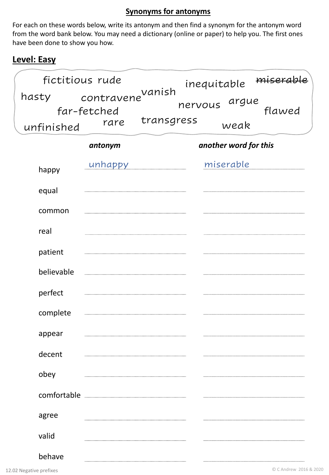### **Synonyms for antonyms**

For each on these words below, write its antonym and then find a synonym for the antonym word from the word bank below. You may need a dictionary (online or paper) to help you. The first ones have been done to show you how.

### **Level: Easy**

| fictitious rude     |                                                     |            |               | inequitable           | miserable |
|---------------------|-----------------------------------------------------|------------|---------------|-----------------------|-----------|
| hasty<br>unfinished | contravene <sup>vanish</sup><br>far-fetched<br>rare | transgress | nervous argue | weak                  | flawed    |
|                     | antonym                                             |            |               | another word for this |           |
| happy               | unhappy                                             |            |               | miserable             |           |
| equal               |                                                     |            |               |                       |           |
| common              |                                                     |            |               |                       |           |
| real                |                                                     |            |               |                       |           |
| patient             |                                                     |            |               |                       |           |
| believable          |                                                     |            |               |                       |           |
| perfect             |                                                     |            |               |                       |           |
| complete            |                                                     |            |               |                       |           |
| appear              |                                                     |            |               |                       |           |
| decent              |                                                     |            |               |                       |           |
| obey                |                                                     |            |               |                       |           |
|                     |                                                     |            |               |                       |           |
| agree               |                                                     |            |               |                       |           |
| valid               |                                                     |            |               |                       |           |
| behave              |                                                     |            |               |                       |           |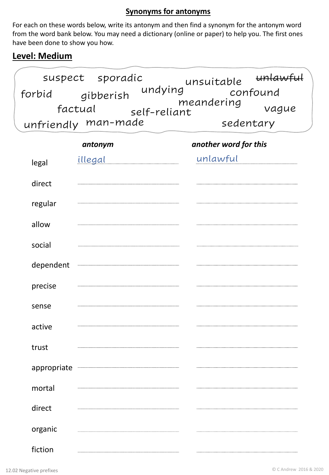### **Synonyms for antonyms**

For each on these words below, write its antonym and then find a synonym for the antonym word from the word bank below. You may need a dictionary (online or paper) to help you. The first ones have been done to show you how.

# **Level: Medium**

| suspect sporadic               | unlawful<br>unsuitable |
|--------------------------------|------------------------|
| undying<br>gibberish<br>forbid | confound               |
| factual<br>self-reliant        | meandering<br>vague    |
| unfriendly man-made            | sedentary              |

|             | antonym        | another word for this |
|-------------|----------------|-----------------------|
| legal       | <u>illegal</u> | unlawful              |
| direct      |                |                       |
| regular     |                |                       |
| allow       |                |                       |
| social      |                |                       |
| dependent   |                |                       |
| precise     |                |                       |
| sense       |                |                       |
| active      |                |                       |
| trust       |                |                       |
| appropriate |                |                       |
| mortal      |                |                       |
| direct      |                |                       |
| organic     |                |                       |
| fiction     |                |                       |